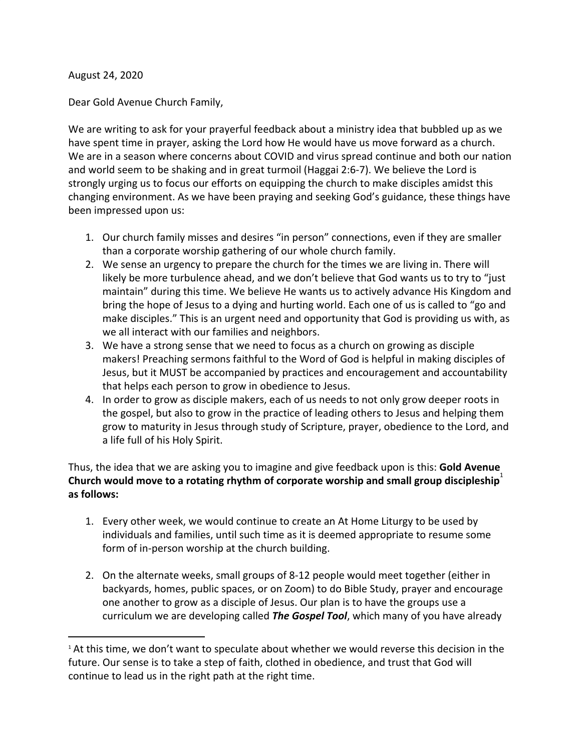August 24, 2020

Dear Gold Avenue Church Family,

We are writing to ask for your prayerful feedback about a ministry idea that bubbled up as we have spent time in prayer, asking the Lord how He would have us move forward as a church. We are in a season where concerns about COVID and virus spread continue and both our nation and world seem to be shaking and in great turmoil (Haggai 2:6-7). We believe the Lord is strongly urging us to focus our efforts on equipping the church to make disciples amidst this changing environment. As we have been praying and seeking God's guidance, these things have been impressed upon us:

- 1. Our church family misses and desires "in person" connections, even if they are smaller than a corporate worship gathering of our whole church family.
- 2. We sense an urgency to prepare the church for the times we are living in. There will likely be more turbulence ahead, and we don't believe that God wants us to try to "just maintain" during this time. We believe He wants us to actively advance His Kingdom and bring the hope of Jesus to a dying and hurting world. Each one of us is called to "go and make disciples." This is an urgent need and opportunity that God is providing us with, as we all interact with our families and neighbors.
- 3. We have a strong sense that we need to focus as a church on growing as disciple makers! Preaching sermons faithful to the Word of God is helpful in making disciples of Jesus, but it MUST be accompanied by practices and encouragement and accountability that helps each person to grow in obedience to Jesus.
- 4. In order to grow as disciple makers, each of us needs to not only grow deeper roots in the gospel, but also to grow in the practice of leading others to Jesus and helping them grow to maturity in Jesus through study of Scripture, prayer, obedience to the Lord, and a life full of his Holy Spirit.

Thus, the idea that we are asking you to imagine and give feedback upon is this: **Gold Avenue** Church would move to a rotating rhythm of corporate worship and small group discipleship<sup>1</sup> **as follows:**

- 1. Every other week, we would continue to create an At Home Liturgy to be used by individuals and families, until such time as it is deemed appropriate to resume some form of in-person worship at the church building.
- 2. On the alternate weeks, small groups of 8-12 people would meet together (either in backyards, homes, public spaces, or on Zoom) to do Bible Study, prayer and encourage one another to grow as a disciple of Jesus. Our plan is to have the groups use a curriculum we are developing called *The Gospel Tool*, which many of you have already

<sup>&</sup>lt;sup>1</sup> At this time, we don't want to speculate about whether we would reverse this decision in the future. Our sense is to take a step of faith, clothed in obedience, and trust that God will continue to lead us in the right path at the right time.